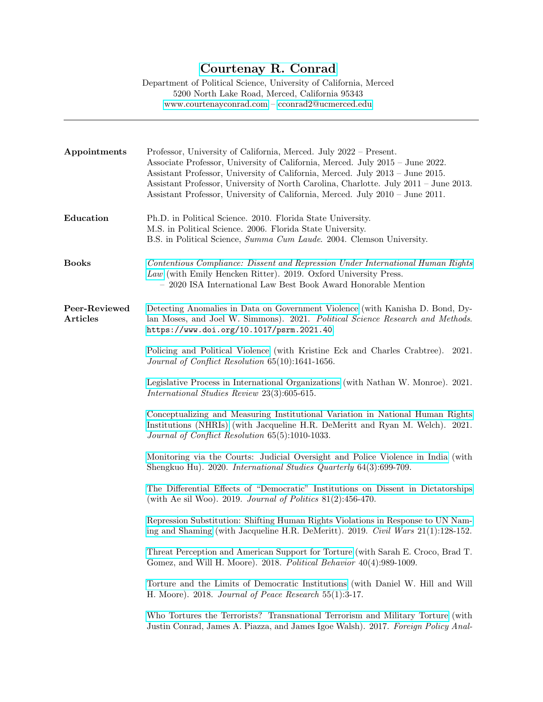## [Courtenay R. Conrad](https://scholar.google.com/citations?user=e5Mcx2QAAAAJ&hl=en)

Department of Political Science, University of California, Merced 5200 North Lake Road, Merced, California 95343 <www.courtenayconrad.com> – [cconrad2@ucmerced.edu](mailto:cconrad2@ucmerced.edu)

| Appointments                     | Professor, University of California, Merced. July 2022 – Present.<br>Associate Professor, University of California, Merced. July 2015 - June 2022.<br>Assistant Professor, University of California, Merced. July 2013 - June 2015.<br>Assistant Professor, University of North Carolina, Charlotte. July 2011 - June 2013.<br>Assistant Professor, University of California, Merced. July 2010 - June 2011. |
|----------------------------------|--------------------------------------------------------------------------------------------------------------------------------------------------------------------------------------------------------------------------------------------------------------------------------------------------------------------------------------------------------------------------------------------------------------|
| Education                        | Ph.D. in Political Science. 2010. Florida State University.<br>M.S. in Political Science. 2006. Florida State University.<br>B.S. in Political Science, Summa Cum Laude. 2004. Clemson University.                                                                                                                                                                                                           |
| <b>Books</b>                     | Contentious Compliance: Dissent and Repression Under International Human Rights<br>Law (with Emily Hencken Ritter). 2019. Oxford University Press.<br>- 2020 ISA International Law Best Book Award Honorable Mention                                                                                                                                                                                         |
| Peer-Reviewed<br><b>Articles</b> | Detecting Anomalies in Data on Government Violence (with Kanisha D. Bond, Dy-<br>lan Moses, and Joel W. Simmons). 2021. Political Science Research and Methods.<br>https://www.doi.org/10.1017/psrm.2021.40.                                                                                                                                                                                                 |
|                                  | Policing and Political Violence (with Kristine Eck and Charles Crabtree).<br>2021.<br>Journal of Conflict Resolution 65(10):1641-1656.                                                                                                                                                                                                                                                                       |
|                                  | Legislative Process in International Organizations (with Nathan W. Monroe). 2021.<br>International Studies Review 23(3):605-615.                                                                                                                                                                                                                                                                             |
|                                  | Conceptualizing and Measuring Institutional Variation in National Human Rights<br>Institutions (NHRIs) (with Jacqueline H.R. DeMeritt and Ryan M. Welch). 2021.<br>Journal of Conflict Resolution 65(5):1010-1033.                                                                                                                                                                                           |
|                                  | Monitoring via the Courts: Judicial Oversight and Police Violence in India (with<br>Shengkuo Hu). 2020. International Studies Quarterly 64(3):699-709.                                                                                                                                                                                                                                                       |
|                                  | The Differential Effects of "Democratic" Institutions on Dissent in Dictatorships<br>(with Ae sil Woo). 2019. Journal of Politics $81(2):456-470$ .                                                                                                                                                                                                                                                          |
|                                  | Repression Substitution: Shifting Human Rights Violations in Response to UN Nam-<br>ing and Shaming (with Jacqueline H.R. DeMeritt). 2019. Civil Wars 21(1):128-152.                                                                                                                                                                                                                                         |
|                                  | Threat Perception and American Support for Torture (with Sarah E. Croco, Brad T.<br>Gomez, and Will H. Moore). 2018. Political Behavior 40(4):989-1009.                                                                                                                                                                                                                                                      |
|                                  | Torture and the Limits of Democratic Institutions (with Daniel W. Hill and Will<br>H. Moore). 2018. Journal of Peace Research $55(1):3-17$ .                                                                                                                                                                                                                                                                 |
|                                  | Who Tortures the Terrorists? Transnational Terrorism and Military Torture (with<br>Justin Conrad, James A. Piazza, and James Igoe Walsh). 2017. Foreign Policy Anal-                                                                                                                                                                                                                                         |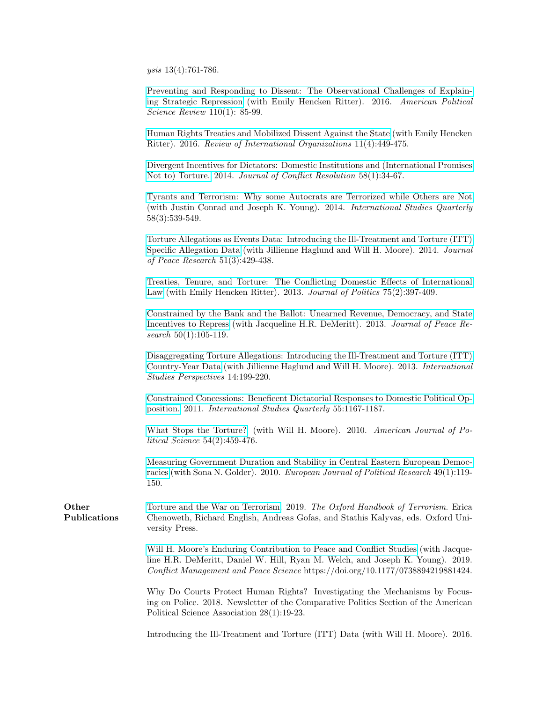ysis 13(4):761-786.

[Preventing and Responding to Dissent: The Observational Challenges of Explain](https://www.cambridge.org/core/journals/american-political-science-review/article/preventing-and-responding-to-dissent-the-observational-challenges-of-explaining-strategic-repression/2D6F4727F6B30529B71CC865355265B3)[ing Strategic Repression](https://www.cambridge.org/core/journals/american-political-science-review/article/preventing-and-responding-to-dissent-the-observational-challenges-of-explaining-strategic-repression/2D6F4727F6B30529B71CC865355265B3) (with Emily Hencken Ritter). 2016. American Political Science Review 110(1): 85-99.

[Human Rights Treaties and Mobilized Dissent Against the State](http://link.springer.com/article/10.1007/s11558-015-9238-4) (with Emily Hencken Ritter). 2016. Review of International Organizations 11(4):449-475.

[Divergent Incentives for Dictators: Domestic Institutions and \(International Promises](http://journals.sagepub.com/doi/abs/10.1177/0022002712459707) [Not to\) Torture.](http://journals.sagepub.com/doi/abs/10.1177/0022002712459707) 2014. Journal of Conflict Resolution 58(1):34-67.

[Tyrants and Terrorism: Why some Autocrats are Terrorized while Others are Not](http://onlinelibrary.wiley.com/doi/10.1111/isqu.12120/abstract) (with Justin Conrad and Joseph K. Young). 2014. International Studies Quarterly 58(3):539-549.

[Torture Allegations as Events Data: Introducing the Ill-Treatment and Torture \(ITT\)](http://journals.sagepub.com/doi/abs/10.1177/0022343314524427) [Specific Allegation Data](http://journals.sagepub.com/doi/abs/10.1177/0022343314524427) (with Jillienne Haglund and Will H. Moore). 2014. Journal of Peace Research 51(3):429-438.

[Treaties, Tenure, and Torture: The Conflicting Domestic Effects of International](http://www.journals.uchicago.edu/doi/abs/10.1017/S0022381613000091) [Law](http://www.journals.uchicago.edu/doi/abs/10.1017/S0022381613000091) (with Emily Hencken Ritter). 2013. Journal of Politics 75(2):397-409.

[Constrained by the Bank and the Ballot: Unearned Revenue, Democracy, and State](http://journals.sagepub.com/doi/abs/10.1177/0022343312454556) [Incentives to Repress](http://journals.sagepub.com/doi/abs/10.1177/0022343312454556) (with Jacqueline H.R. DeMeritt). 2013. Journal of Peace Research 50(1):105-119.

[Disaggregating Torture Allegations: Introducing the Ill-Treatment and Torture \(ITT\)](http://onlinelibrary.wiley.com/doi/10.1111/j.1528-3585.2012.00471.x/full) [Country-Year Data](http://onlinelibrary.wiley.com/doi/10.1111/j.1528-3585.2012.00471.x/full) (with Jillienne Haglund and Will H. Moore). 2013. International Studies Perspectives 14:199-220.

[Constrained Concessions: Beneficent Dictatorial Responses to Domestic Political Op](http://onlinelibrary.wiley.com/doi/10.1111/j.1468-2478.2011.00683.x/abstract)[position.](http://onlinelibrary.wiley.com/doi/10.1111/j.1468-2478.2011.00683.x/abstract) 2011. International Studies Quarterly 55:1167-1187.

[What Stops the Torture?](http://onlinelibrary.wiley.com/doi/10.1111/j.1540-5907.2010.00441.x/abstract) (with Will H. Moore). 2010. American Journal of Political Science 54(2):459-476.

[Measuring Government Duration and Stability in Central Eastern European Democ](http://onlinelibrary.wiley.com/doi/10.1111/j.1475-6765.2009.01888.x/abstract)[racies](http://onlinelibrary.wiley.com/doi/10.1111/j.1475-6765.2009.01888.x/abstract) (with Sona N. Golder). 2010. European Journal of Political Research 49(1):119- 150.

**Other** Publications [Torture and the War on Terrorism.](https://www.oxfordhandbooks.com/view/10.1093/oxfordhb/9780198732914.001.0001/oxfordhb-9780198732914-e-37) 2019. The Oxford Handbook of Terrorism. Erica Chenoweth, Richard English, Andreas Gofas, and Stathis Kalyvas, eds. Oxford University Press.

> [Will H. Moore's Enduring Contribution to Peace and Conflict Studies](https://journals.sagepub.com/eprint/IQCECVIRKXMWHUVHJZAN/full) (with Jacqueline H.R. DeMeritt, Daniel W. Hill, Ryan M. Welch, and Joseph K. Young). 2019. Conflict Management and Peace Science https://doi.org/10.1177/0738894219881424.

> Why Do Courts Protect Human Rights? Investigating the Mechanisms by Focusing on Police. 2018. Newsletter of the Comparative Politics Section of the American Political Science Association 28(1):19-23.

> Introducing the Ill-Treatment and Torture (ITT) Data (with Will H. Moore). 2016.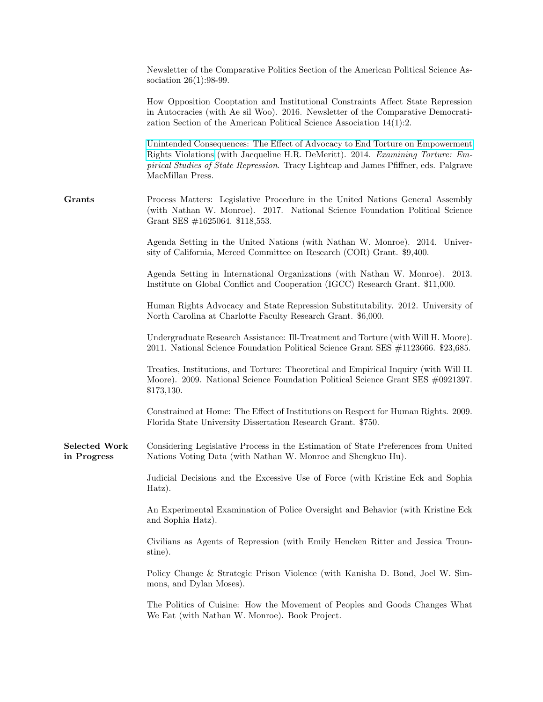|                                     | Newsletter of the Comparative Politics Section of the American Political Science As-<br>sociation $26(1):98-99$ .                                                                                                                                                             |
|-------------------------------------|-------------------------------------------------------------------------------------------------------------------------------------------------------------------------------------------------------------------------------------------------------------------------------|
|                                     | How Opposition Cooptation and Institutional Constraints Affect State Repression<br>in Autocracies (with Ae sil Woo). 2016. Newsletter of the Comparative Democrati-<br>zation Section of the American Political Science Association $14(1):2$ .                               |
|                                     | Unintended Consequences: The Effect of Advocacy to End Torture on Empowerment<br>Rights Violations (with Jacqueline H.R. DeMeritt). 2014. Examining Torture: Em-<br>pirical Studies of State Repression. Tracy Lightcap and James Pfiffner, eds. Palgrave<br>MacMillan Press. |
| Grants                              | Process Matters: Legislative Procedure in the United Nations General Assembly<br>(with Nathan W. Monroe). 2017. National Science Foundation Political Science<br>Grant SES $\#1625064$ . \$118,553.                                                                           |
|                                     | Agenda Setting in the United Nations (with Nathan W. Monroe). 2014. Univer-<br>sity of California, Merced Committee on Research (COR) Grant. \$9,400.                                                                                                                         |
|                                     | Agenda Setting in International Organizations (with Nathan W. Monroe). 2013.<br>Institute on Global Conflict and Cooperation (IGCC) Research Grant. \$11,000.                                                                                                                 |
|                                     | Human Rights Advocacy and State Repression Substitutability. 2012. University of<br>North Carolina at Charlotte Faculty Research Grant. \$6,000.                                                                                                                              |
|                                     | Undergraduate Research Assistance: Ill-Treatment and Torture (with Will H. Moore).<br>2011. National Science Foundation Political Science Grant SES #1123666. \$23,685.                                                                                                       |
|                                     | Treaties, Institutions, and Torture: Theoretical and Empirical Inquiry (with Will H.<br>Moore). 2009. National Science Foundation Political Science Grant SES #0921397.<br>\$173,130.                                                                                         |
|                                     | Constrained at Home: The Effect of Institutions on Respect for Human Rights. 2009.<br>Florida State University Dissertation Research Grant. \$750.                                                                                                                            |
| <b>Selected Work</b><br>in Progress | Considering Legislative Process in the Estimation of State Preferences from United<br>Nations Voting Data (with Nathan W. Monroe and Shengkuo Hu).                                                                                                                            |
|                                     | Judicial Decisions and the Excessive Use of Force (with Kristine Eck and Sophia<br>Hatz).                                                                                                                                                                                     |
|                                     | An Experimental Examination of Police Oversight and Behavior (with Kristine Eck<br>and Sophia Hatz).                                                                                                                                                                          |
|                                     | Civilians as Agents of Repression (with Emily Hencken Ritter and Jessica Troun-<br>stine).                                                                                                                                                                                    |
|                                     | Policy Change & Strategic Prison Violence (with Kanisha D. Bond, Joel W. Sim-<br>mons, and Dylan Moses).                                                                                                                                                                      |
|                                     | The Politics of Cuisine: How the Movement of Peoples and Goods Changes What<br>We Eat (with Nathan W. Monroe). Book Project.                                                                                                                                                  |
|                                     |                                                                                                                                                                                                                                                                               |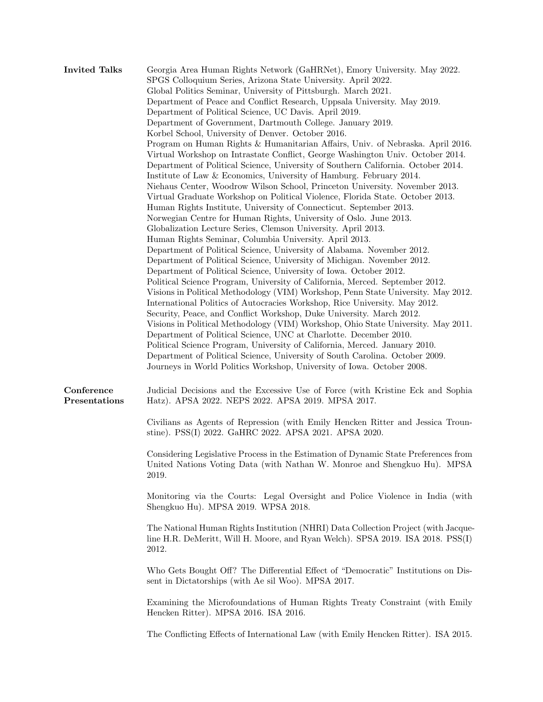| <b>Invited Talks</b>        | Georgia Area Human Rights Network (GaHRNet), Emory University. May 2022.<br>SPGS Colloquium Series, Arizona State University. April 2022.<br>Global Politics Seminar, University of Pittsburgh. March 2021.<br>Department of Peace and Conflict Research, Uppsala University. May 2019.<br>Department of Political Science, UC Davis. April 2019.<br>Department of Government, Dartmouth College. January 2019.<br>Korbel School, University of Denver. October 2016.<br>Program on Human Rights & Humanitarian Affairs, Univ. of Nebraska. April 2016.<br>Virtual Workshop on Intrastate Conflict, George Washington Univ. October 2014.<br>Department of Political Science, University of Southern California. October 2014.<br>Institute of Law & Economics, University of Hamburg. February 2014.<br>Niehaus Center, Woodrow Wilson School, Princeton University. November 2013.<br>Virtual Graduate Workshop on Political Violence, Florida State. October 2013.<br>Human Rights Institute, University of Connecticut. September 2013.<br>Norwegian Centre for Human Rights, University of Oslo. June 2013.<br>Globalization Lecture Series, Clemson University. April 2013.<br>Human Rights Seminar, Columbia University. April 2013.<br>Department of Political Science, University of Alabama. November 2012.<br>Department of Political Science, University of Michigan. November 2012.<br>Department of Political Science, University of Iowa. October 2012.<br>Political Science Program, University of California, Merced. September 2012.<br>Visions in Political Methodology (VIM) Workshop, Penn State University. May 2012.<br>International Politics of Autocracies Workshop, Rice University. May 2012.<br>Security, Peace, and Conflict Workshop, Duke University. March 2012.<br>Visions in Political Methodology (VIM) Workshop, Ohio State University. May 2011.<br>Department of Political Science, UNC at Charlotte. December 2010.<br>Political Science Program, University of California, Merced. January 2010.<br>Department of Political Science, University of South Carolina. October 2009.<br>Journeys in World Politics Workshop, University of Iowa. October 2008. |
|-----------------------------|-----------------------------------------------------------------------------------------------------------------------------------------------------------------------------------------------------------------------------------------------------------------------------------------------------------------------------------------------------------------------------------------------------------------------------------------------------------------------------------------------------------------------------------------------------------------------------------------------------------------------------------------------------------------------------------------------------------------------------------------------------------------------------------------------------------------------------------------------------------------------------------------------------------------------------------------------------------------------------------------------------------------------------------------------------------------------------------------------------------------------------------------------------------------------------------------------------------------------------------------------------------------------------------------------------------------------------------------------------------------------------------------------------------------------------------------------------------------------------------------------------------------------------------------------------------------------------------------------------------------------------------------------------------------------------------------------------------------------------------------------------------------------------------------------------------------------------------------------------------------------------------------------------------------------------------------------------------------------------------------------------------------------------------------------------------------------------------------------------------------------------------------------------------------------------------------------------|
| Conference<br>Presentations | Judicial Decisions and the Excessive Use of Force (with Kristine Eck and Sophia<br>Hatz). APSA 2022. NEPS 2022. APSA 2019. MPSA 2017.<br>Civilians as Agents of Repression (with Emily Hencken Ritter and Jessica Troun-<br>stine). PSS(I) 2022. GaHRC 2022. APSA 2021. APSA 2020.                                                                                                                                                                                                                                                                                                                                                                                                                                                                                                                                                                                                                                                                                                                                                                                                                                                                                                                                                                                                                                                                                                                                                                                                                                                                                                                                                                                                                                                                                                                                                                                                                                                                                                                                                                                                                                                                                                                  |
|                             | Considering Legislative Process in the Estimation of Dynamic State Preferences from<br>United Nations Voting Data (with Nathan W. Monroe and Shengkuo Hu). MPSA<br>2019.                                                                                                                                                                                                                                                                                                                                                                                                                                                                                                                                                                                                                                                                                                                                                                                                                                                                                                                                                                                                                                                                                                                                                                                                                                                                                                                                                                                                                                                                                                                                                                                                                                                                                                                                                                                                                                                                                                                                                                                                                            |
|                             | Monitoring via the Courts: Legal Oversight and Police Violence in India (with<br>Shengkuo Hu). MPSA 2019. WPSA 2018.                                                                                                                                                                                                                                                                                                                                                                                                                                                                                                                                                                                                                                                                                                                                                                                                                                                                                                                                                                                                                                                                                                                                                                                                                                                                                                                                                                                                                                                                                                                                                                                                                                                                                                                                                                                                                                                                                                                                                                                                                                                                                |
|                             | The National Human Rights Institution (NHRI) Data Collection Project (with Jacque-<br>line H.R. DeMeritt, Will H. Moore, and Ryan Welch). SPSA 2019. ISA 2018. PSS(I)<br>2012.                                                                                                                                                                                                                                                                                                                                                                                                                                                                                                                                                                                                                                                                                                                                                                                                                                                                                                                                                                                                                                                                                                                                                                                                                                                                                                                                                                                                                                                                                                                                                                                                                                                                                                                                                                                                                                                                                                                                                                                                                      |
|                             | Who Gets Bought Off? The Differential Effect of "Democratic" Institutions on Dis-<br>sent in Dictatorships (with Ae sil Woo). MPSA 2017.                                                                                                                                                                                                                                                                                                                                                                                                                                                                                                                                                                                                                                                                                                                                                                                                                                                                                                                                                                                                                                                                                                                                                                                                                                                                                                                                                                                                                                                                                                                                                                                                                                                                                                                                                                                                                                                                                                                                                                                                                                                            |
|                             | Examining the Microfoundations of Human Rights Treaty Constraint (with Emily<br>Hencken Ritter). MPSA 2016. ISA 2016.                                                                                                                                                                                                                                                                                                                                                                                                                                                                                                                                                                                                                                                                                                                                                                                                                                                                                                                                                                                                                                                                                                                                                                                                                                                                                                                                                                                                                                                                                                                                                                                                                                                                                                                                                                                                                                                                                                                                                                                                                                                                               |
|                             | The Conflicting Effects of International Law (with Emily Hencken Ritter). ISA 2015.                                                                                                                                                                                                                                                                                                                                                                                                                                                                                                                                                                                                                                                                                                                                                                                                                                                                                                                                                                                                                                                                                                                                                                                                                                                                                                                                                                                                                                                                                                                                                                                                                                                                                                                                                                                                                                                                                                                                                                                                                                                                                                                 |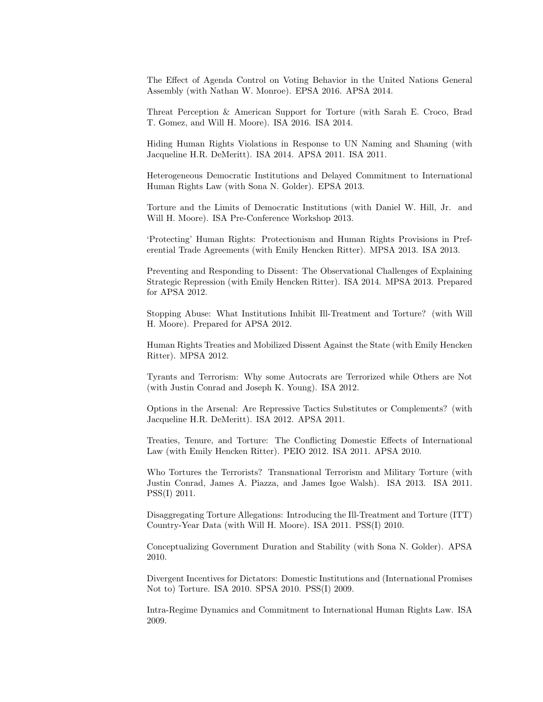The Effect of Agenda Control on Voting Behavior in the United Nations General Assembly (with Nathan W. Monroe). EPSA 2016. APSA 2014.

Threat Perception & American Support for Torture (with Sarah E. Croco, Brad T. Gomez, and Will H. Moore). ISA 2016. ISA 2014.

Hiding Human Rights Violations in Response to UN Naming and Shaming (with Jacqueline H.R. DeMeritt). ISA 2014. APSA 2011. ISA 2011.

Heterogeneous Democratic Institutions and Delayed Commitment to International Human Rights Law (with Sona N. Golder). EPSA 2013.

Torture and the Limits of Democratic Institutions (with Daniel W. Hill, Jr. and Will H. Moore). ISA Pre-Conference Workshop 2013.

'Protecting' Human Rights: Protectionism and Human Rights Provisions in Preferential Trade Agreements (with Emily Hencken Ritter). MPSA 2013. ISA 2013.

Preventing and Responding to Dissent: The Observational Challenges of Explaining Strategic Repression (with Emily Hencken Ritter). ISA 2014. MPSA 2013. Prepared for APSA 2012.

Stopping Abuse: What Institutions Inhibit Ill-Treatment and Torture? (with Will H. Moore). Prepared for APSA 2012.

Human Rights Treaties and Mobilized Dissent Against the State (with Emily Hencken Ritter). MPSA 2012.

Tyrants and Terrorism: Why some Autocrats are Terrorized while Others are Not (with Justin Conrad and Joseph K. Young). ISA 2012.

Options in the Arsenal: Are Repressive Tactics Substitutes or Complements? (with Jacqueline H.R. DeMeritt). ISA 2012. APSA 2011.

Treaties, Tenure, and Torture: The Conflicting Domestic Effects of International Law (with Emily Hencken Ritter). PEIO 2012. ISA 2011. APSA 2010.

Who Tortures the Terrorists? Transnational Terrorism and Military Torture (with Justin Conrad, James A. Piazza, and James Igoe Walsh). ISA 2013. ISA 2011. PSS(I) 2011.

Disaggregating Torture Allegations: Introducing the Ill-Treatment and Torture (ITT) Country-Year Data (with Will H. Moore). ISA 2011. PSS(I) 2010.

Conceptualizing Government Duration and Stability (with Sona N. Golder). APSA 2010.

Divergent Incentives for Dictators: Domestic Institutions and (International Promises Not to) Torture. ISA 2010. SPSA 2010. PSS(I) 2009.

Intra-Regime Dynamics and Commitment to International Human Rights Law. ISA 2009.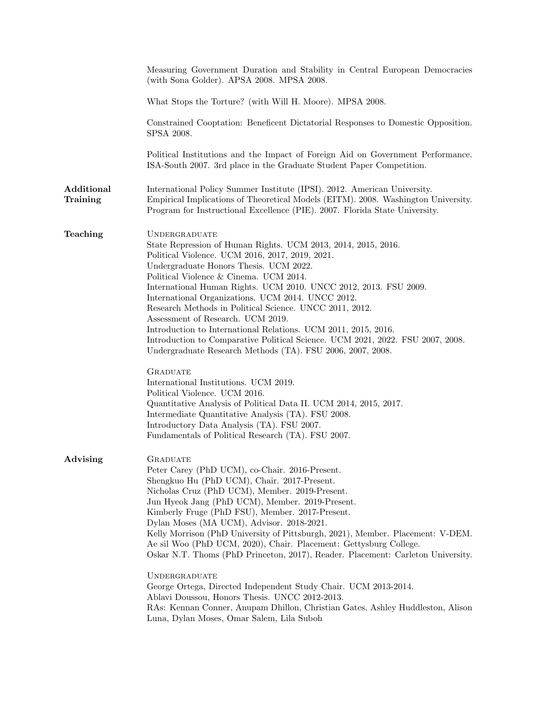|                        | Measuring Government Duration and Stability in Central European Democracies<br>(with Sona Golder). APSA 2008. MPSA 2008.                                                                                                                                                                                                                                                                                                                                                                                                                                                                                                                                                                                                            |
|------------------------|-------------------------------------------------------------------------------------------------------------------------------------------------------------------------------------------------------------------------------------------------------------------------------------------------------------------------------------------------------------------------------------------------------------------------------------------------------------------------------------------------------------------------------------------------------------------------------------------------------------------------------------------------------------------------------------------------------------------------------------|
|                        | What Stops the Torture? (with Will H. Moore). MPSA 2008.                                                                                                                                                                                                                                                                                                                                                                                                                                                                                                                                                                                                                                                                            |
|                        | Constrained Cooptation: Beneficent Dictatorial Responses to Domestic Opposition.<br>SPSA 2008.                                                                                                                                                                                                                                                                                                                                                                                                                                                                                                                                                                                                                                      |
|                        | Political Institutions and the Impact of Foreign Aid on Government Performance.<br>ISA-South 2007. 3rd place in the Graduate Student Paper Competition.                                                                                                                                                                                                                                                                                                                                                                                                                                                                                                                                                                             |
| Additional<br>Training | International Policy Summer Institute (IPSI). 2012. American University.<br>Empirical Implications of Theoretical Models (EITM). 2008. Washington University.<br>Program for Instructional Excellence (PIE). 2007. Florida State University.                                                                                                                                                                                                                                                                                                                                                                                                                                                                                        |
| Teaching               | <b>UNDERGRADUATE</b><br>State Repression of Human Rights. UCM 2013, 2014, 2015, 2016.<br>Political Violence. UCM 2016, 2017, 2019, 2021.<br>Undergraduate Honors Thesis. UCM 2022.<br>Political Violence & Cinema. UCM 2014.<br>International Human Rights. UCM 2010. UNCC 2012, 2013. FSU 2009.<br>International Organizations. UCM 2014. UNCC 2012.<br>Research Methods in Political Science. UNCC 2011, 2012.<br>Assessment of Research. UCM 2019.<br>Introduction to International Relations. UCM 2011, 2015, 2016.<br>Introduction to Comparative Political Science. UCM 2021, 2022. FSU 2007, 2008.<br>Undergraduate Research Methods (TA). FSU 2006, 2007, 2008.<br><b>GRADUATE</b><br>International Institutions. UCM 2019. |
|                        | Political Violence. UCM 2016.<br>Quantitative Analysis of Political Data II. UCM 2014, 2015, 2017.<br>Intermediate Quantitative Analysis (TA). FSU 2008.<br>Introductory Data Analysis (TA). FSU 2007.<br>Fundamentals of Political Research (TA). FSU 2007.                                                                                                                                                                                                                                                                                                                                                                                                                                                                        |
| Advising               | <b>GRADUATE</b><br>Peter Carey (PhD UCM), co-Chair. 2016-Present.<br>Shengkuo Hu (PhD UCM), Chair. 2017-Present.<br>Nicholas Cruz (PhD UCM), Member. 2019-Present.<br>Jun Hyeok Jang (PhD UCM), Member. 2019-Present.<br>Kimberly Fruge (PhD FSU), Member. 2017-Present.<br>Dylan Moses (MA UCM), Advisor. 2018-2021.<br>Kelly Morrison (PhD University of Pittsburgh, 2021), Member. Placement: V-DEM.<br>Ae sil Woo (PhD UCM, 2020), Chair. Placement: Gettysburg College.<br>Oskar N.T. Thoms (PhD Princeton, 2017), Reader. Placement: Carleton University.                                                                                                                                                                     |
|                        | <b>UNDERGRADUATE</b><br>George Ortega, Directed Independent Study Chair. UCM 2013-2014.<br>Ablavi Doussou, Honors Thesis. UNCC 2012-2013.<br>RAs: Kennan Conner, Anupam Dhillon, Christian Gates, Ashley Huddleston, Alison<br>Luna, Dylan Moses, Omar Salem, Lila Suboh                                                                                                                                                                                                                                                                                                                                                                                                                                                            |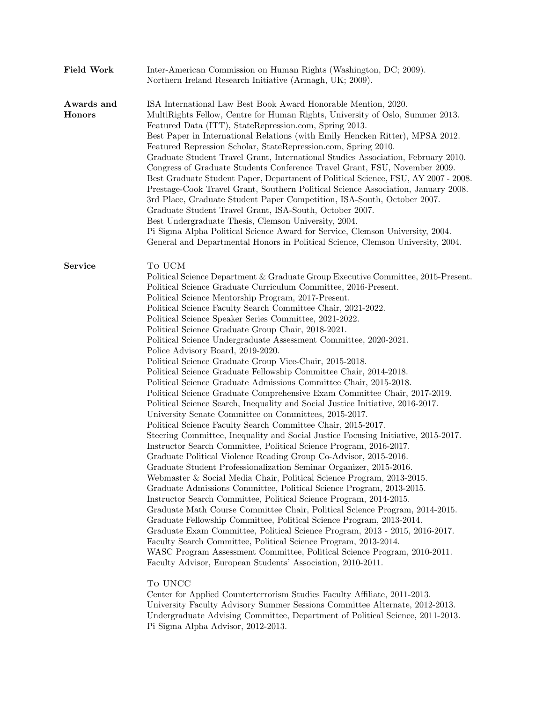| <b>Field Work</b>           | Inter-American Commission on Human Rights (Washington, DC; 2009).<br>Northern Ireland Research Initiative (Armagh, UK; 2009).                                                                                                                                                                                                                                                                                                                                                                                                                                                                                                                                                                                                                                                                                                                                                                                                                                                                                                                                                                                                                                                                                                                                                                                                                                                                                                                                                                                                                                                                                                                                                                                                                                                                                                                                                                                                                                                                                                                                                     |
|-----------------------------|-----------------------------------------------------------------------------------------------------------------------------------------------------------------------------------------------------------------------------------------------------------------------------------------------------------------------------------------------------------------------------------------------------------------------------------------------------------------------------------------------------------------------------------------------------------------------------------------------------------------------------------------------------------------------------------------------------------------------------------------------------------------------------------------------------------------------------------------------------------------------------------------------------------------------------------------------------------------------------------------------------------------------------------------------------------------------------------------------------------------------------------------------------------------------------------------------------------------------------------------------------------------------------------------------------------------------------------------------------------------------------------------------------------------------------------------------------------------------------------------------------------------------------------------------------------------------------------------------------------------------------------------------------------------------------------------------------------------------------------------------------------------------------------------------------------------------------------------------------------------------------------------------------------------------------------------------------------------------------------------------------------------------------------------------------------------------------------|
| Awards and<br><b>Honors</b> | ISA International Law Best Book Award Honorable Mention, 2020.<br>MultiRights Fellow, Centre for Human Rights, University of Oslo, Summer 2013.<br>Featured Data (ITT), StateRepression.com, Spring 2013.<br>Best Paper in International Relations (with Emily Hencken Ritter), MPSA 2012.<br>Featured Repression Scholar, StateRepression.com, Spring 2010.<br>Graduate Student Travel Grant, International Studies Association, February 2010.<br>Congress of Graduate Students Conference Travel Grant, FSU, November 2009.<br>Best Graduate Student Paper, Department of Political Science, FSU, AY 2007 - 2008.<br>Prestage-Cook Travel Grant, Southern Political Science Association, January 2008.<br>3rd Place, Graduate Student Paper Competition, ISA-South, October 2007.<br>Graduate Student Travel Grant, ISA-South, October 2007.<br>Best Undergraduate Thesis, Clemson University, 2004.<br>Pi Sigma Alpha Political Science Award for Service, Clemson University, 2004.<br>General and Departmental Honors in Political Science, Clemson University, 2004.                                                                                                                                                                                                                                                                                                                                                                                                                                                                                                                                                                                                                                                                                                                                                                                                                                                                                                                                                                                                       |
| Service                     | To UCM<br>Political Science Department & Graduate Group Executive Committee, 2015-Present.<br>Political Science Graduate Curriculum Committee, 2016-Present.<br>Political Science Mentorship Program, 2017-Present.<br>Political Science Faculty Search Committee Chair, 2021-2022.<br>Political Science Speaker Series Committee, 2021-2022.<br>Political Science Graduate Group Chair, 2018-2021.<br>Political Science Undergraduate Assessment Committee, 2020-2021.<br>Police Advisory Board, 2019-2020.<br>Political Science Graduate Group Vice-Chair, 2015-2018.<br>Political Science Graduate Fellowship Committee Chair, 2014-2018.<br>Political Science Graduate Admissions Committee Chair, 2015-2018.<br>Political Science Graduate Comprehensive Exam Committee Chair, 2017-2019.<br>Political Science Search, Inequality and Social Justice Initiative, 2016-2017.<br>University Senate Committee on Committees, 2015-2017.<br>Political Science Faculty Search Committee Chair, 2015-2017.<br>Steering Committee, Inequality and Social Justice Focusing Initiative, 2015-2017.<br>Instructor Search Committee, Political Science Program, 2016-2017.<br>Graduate Political Violence Reading Group Co-Advisor, 2015-2016.<br>Graduate Student Professionalization Seminar Organizer, 2015-2016.<br>Webmaster & Social Media Chair, Political Science Program, 2013-2015.<br>Graduate Admissions Committee, Political Science Program, 2013-2015.<br>Instructor Search Committee, Political Science Program, 2014-2015.<br>Graduate Math Course Committee Chair, Political Science Program, 2014-2015.<br>Graduate Fellowship Committee, Political Science Program, 2013-2014.<br>Graduate Exam Committee, Political Science Program, 2013 - 2015, 2016-2017.<br>Faculty Search Committee, Political Science Program, 2013-2014.<br>WASC Program Assessment Committee, Political Science Program, 2010-2011.<br>Faculty Advisor, European Students' Association, 2010-2011.<br>To UNCC<br>Center for Applied Counterterrorism Studies Faculty Affiliate, 2011-2013. |

University Faculty Advisory Summer Sessions Committee Alternate, 2012-2013. Undergraduate Advising Committee, Department of Political Science, 2011-2013. Pi Sigma Alpha Advisor, 2012-2013.